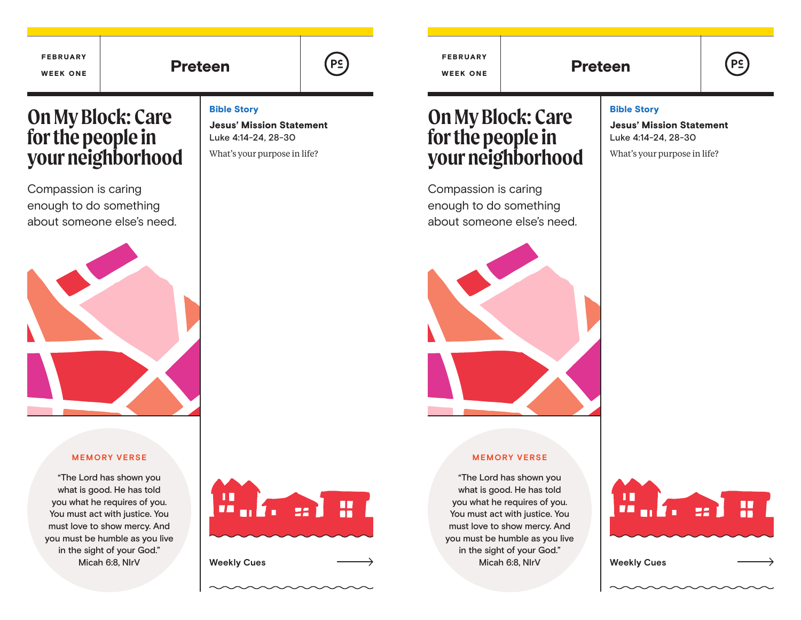| <b>FEBRUARY</b><br><b>WEEK ONE</b>                                           | <b>Preteen</b>                                                                                                                                                                                                                                                   |                                                                                                              | P <sub>2</sub> | <b>FEBRUARY</b><br><b>WEEK ONE</b>                                                                                                                                                                                                                               | <b>Preteen</b> |                                                                                                              |         |
|------------------------------------------------------------------------------|------------------------------------------------------------------------------------------------------------------------------------------------------------------------------------------------------------------------------------------------------------------|--------------------------------------------------------------------------------------------------------------|----------------|------------------------------------------------------------------------------------------------------------------------------------------------------------------------------------------------------------------------------------------------------------------|----------------|--------------------------------------------------------------------------------------------------------------|---------|
| <b>On My Block: Care</b><br>for the people in<br>your neighborhood           |                                                                                                                                                                                                                                                                  | <b>Bible Story</b><br><b>Jesus' Mission Statement</b><br>Luke 4:14-24, 28-30<br>What's your purpose in life? |                | <b>On My Block: Care</b><br>for the people in<br>your neighborhood                                                                                                                                                                                               |                | <b>Bible Story</b><br><b>Jesus' Mission Statement</b><br>Luke 4:14-24, 28-30<br>What's your purpose in life? |         |
| Compassion is caring<br>enough to do something<br>about someone else's need. |                                                                                                                                                                                                                                                                  |                                                                                                              |                | Compassion is caring<br>enough to do something<br>about someone else's need.                                                                                                                                                                                     |                |                                                                                                              |         |
|                                                                              |                                                                                                                                                                                                                                                                  |                                                                                                              |                |                                                                                                                                                                                                                                                                  |                |                                                                                                              |         |
|                                                                              | <b>MEMORY VERSE</b><br>"The Lord has shown you<br>what is good. He has told<br>you what he requires of you.<br>You must act with justice. You<br>must love to show mercy. And<br>you must be humble as you live<br>in the sight of your God."<br>Micah 6:8, NlrV | ш<br>П<br>ar Ma<br><b>Weekly Cues</b>                                                                        | ₩              | <b>MEMORY VERSE</b><br>"The Lord has shown you<br>what is good. He has told<br>you what he requires of you.<br>You must act with justice. You<br>must love to show mercy. And<br>you must be humble as you live<br>in the sight of your God."<br>Micah 6:8, NlrV |                | ш<br>UA.<br>u Kı<br><b>Weekly Cues</b>                                                                       | ₩<br>22 |

 $\mathcal{L}(\mathcal{L}(\mathcal{L}(\mathcal{L}(\mathcal{L}(\mathcal{L}(\mathcal{L}(\mathcal{L}(\mathcal{L}(\mathcal{L}(\mathcal{L}(\mathcal{L}(\mathcal{L}(\mathcal{L}(\mathcal{L}(\mathcal{L}(\mathcal{L}(\mathcal{L}(\mathcal{L}(\mathcal{L}(\mathcal{L}(\mathcal{L}(\mathcal{L}(\mathcal{L}(\mathcal{L}(\mathcal{L}(\mathcal{L}(\mathcal{L}(\mathcal{L}(\mathcal{L}(\mathcal{L}(\mathcal{L}(\mathcal{L}(\mathcal{L}(\mathcal{L}(\mathcal{L}(\mathcal{$